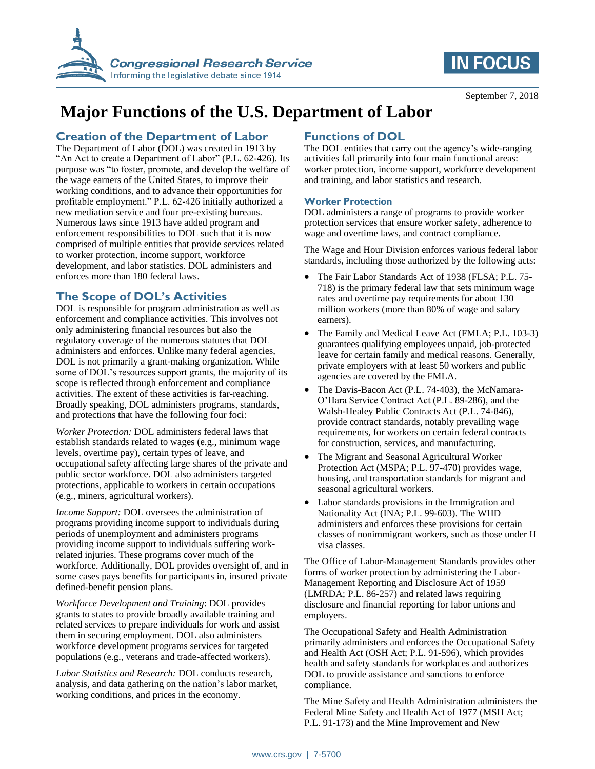



# **Major Functions of the U.S. Department of Labor**

### **Creation of the Department of Labor**

The Department of Labor (DOL) was created in 1913 by "An Act to create a Department of Labor" (P.L. 62-426). Its purpose was "to foster, promote, and develop the welfare of the wage earners of the United States, to improve their working conditions, and to advance their opportunities for profitable employment." P.L. 62-426 initially authorized a new mediation service and four pre-existing bureaus. Numerous laws since 1913 have added program and enforcement responsibilities to DOL such that it is now comprised of multiple entities that provide services related to worker protection, income support, workforce development, and labor statistics. DOL administers and enforces more than 180 federal laws.

## **The Scope of DOL's Activities**

DOL is responsible for program administration as well as enforcement and compliance activities. This involves not only administering financial resources but also the regulatory coverage of the numerous statutes that DOL administers and enforces. Unlike many federal agencies, DOL is not primarily a grant-making organization. While some of DOL's resources support grants, the majority of its scope is reflected through enforcement and compliance activities. The extent of these activities is far-reaching. Broadly speaking, DOL administers programs, standards, and protections that have the following four foci:

*Worker Protection:* DOL administers federal laws that establish standards related to wages (e.g., minimum wage levels, overtime pay), certain types of leave, and occupational safety affecting large shares of the private and public sector workforce. DOL also administers targeted protections, applicable to workers in certain occupations (e.g., miners, agricultural workers).

*Income Support:* DOL oversees the administration of programs providing income support to individuals during periods of unemployment and administers programs providing income support to individuals suffering workrelated injuries. These programs cover much of the workforce. Additionally, DOL provides oversight of, and in some cases pays benefits for participants in, insured private defined-benefit pension plans.

*Workforce Development and Training*: DOL provides grants to states to provide broadly available training and related services to prepare individuals for work and assist them in securing employment. DOL also administers workforce development programs services for targeted populations (e.g., veterans and trade-affected workers).

*Labor Statistics and Research:* DOL conducts research, analysis, and data gathering on the nation's labor market, working conditions, and prices in the economy.

## **Functions of DOL**

The DOL entities that carry out the agency's wide-ranging activities fall primarily into four main functional areas: worker protection, income support, workforce development and training, and labor statistics and research.

#### **Worker Protection**

DOL administers a range of programs to provide worker protection services that ensure worker safety, adherence to wage and overtime laws, and contract compliance.

The Wage and Hour Division enforces various federal labor standards, including those authorized by the following acts:

- The Fair Labor Standards Act of 1938 (FLSA; P.L. 75- 718) is the primary federal law that sets minimum wage rates and overtime pay requirements for about 130 million workers (more than 80% of wage and salary earners).
- The Family and Medical Leave Act (FMLA; P.L. 103-3) guarantees qualifying employees unpaid, job-protected leave for certain family and medical reasons. Generally, private employers with at least 50 workers and public agencies are covered by the FMLA.
- The Davis-Bacon Act (P.L. 74-403), the McNamara-O'Hara Service Contract Act (P.L. 89-286), and the Walsh-Healey Public Contracts Act (P.L. 74-846), provide contract standards, notably prevailing wage requirements, for workers on certain federal contracts for construction, services, and manufacturing.
- The Migrant and Seasonal Agricultural Worker Protection Act (MSPA; P.L. 97-470) provides wage, housing, and transportation standards for migrant and seasonal agricultural workers.
- Labor standards provisions in the Immigration and Nationality Act (INA; P.L. 99-603). The WHD administers and enforces these provisions for certain classes of nonimmigrant workers, such as those under H visa classes.

The Office of Labor-Management Standards provides other forms of worker protection by administering the Labor-Management Reporting and Disclosure Act of 1959 (LMRDA; P.L. 86-257) and related laws requiring disclosure and financial reporting for labor unions and employers.

The Occupational Safety and Health Administration primarily administers and enforces the Occupational Safety and Health Act (OSH Act; P.L. 91-596), which provides health and safety standards for workplaces and authorizes DOL to provide assistance and sanctions to enforce compliance.

The Mine Safety and Health Administration administers the Federal Mine Safety and Health Act of 1977 (MSH Act; P.L. 91-173) and the Mine Improvement and New